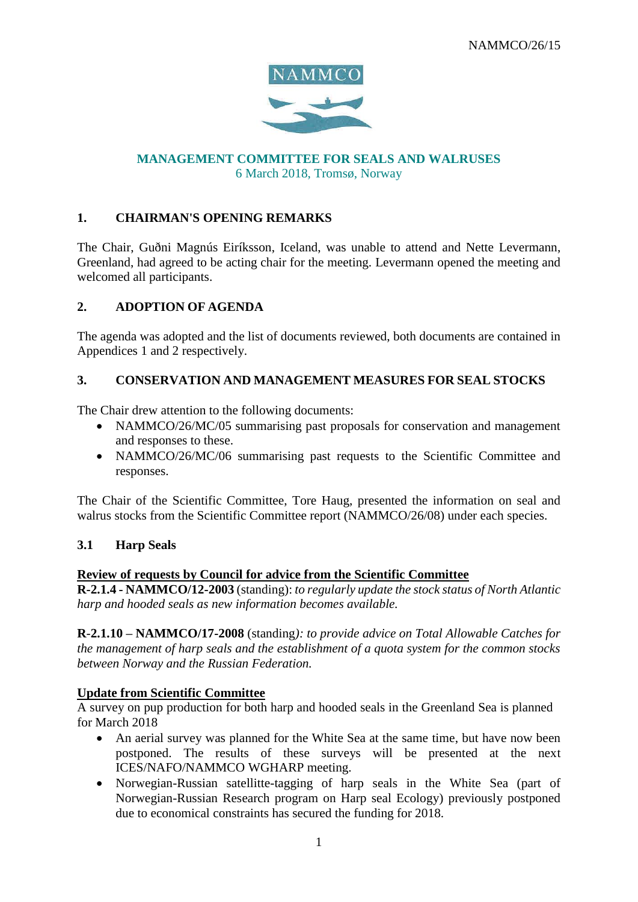

# **MANAGEMENT COMMITTEE FOR SEALS AND WALRUSES** 6 March 2018, Tromsø, Norway

# **1. CHAIRMAN'S OPENING REMARKS**

The Chair, Guðni Magnús Eiríksson, Iceland, was unable to attend and Nette Levermann, Greenland, had agreed to be acting chair for the meeting. Levermann opened the meeting and welcomed all participants.

# **2. ADOPTION OF AGENDA**

The agenda was adopted and the list of documents reviewed, both documents are contained in Appendices 1 and 2 respectively.

# **3. CONSERVATION AND MANAGEMENT MEASURES FOR SEAL STOCKS**

The Chair drew attention to the following documents:

- NAMMCO/26/MC/05 summarising past proposals for conservation and management and responses to these.
- NAMMCO/26/MC/06 summarising past requests to the Scientific Committee and responses.

The Chair of the Scientific Committee, Tore Haug, presented the information on seal and walrus stocks from the Scientific Committee report (NAMMCO/26/08) under each species.

# **3.1 Harp Seals**

#### **Review of requests by Council for advice from the Scientific Committee**

**R-2.1.4 - NAMMCO/12-2003** (standing): *to regularly update the stock status of North Atlantic harp and hooded seals as new information becomes available.*

**R**-**2.1.10 – NAMMCO/17-2008** (standing*): to provide advice on Total Allowable Catches for the management of harp seals and the establishment of a quota system for the common stocks between Norway and the Russian Federation.*

# **Update from Scientific Committee**

A survey on pup production for both harp and hooded seals in the Greenland Sea is planned for March 2018

- An aerial survey was planned for the White Sea at the same time, but have now been postponed. The results of these surveys will be presented at the next ICES/NAFO/NAMMCO WGHARP meeting.
- Norwegian-Russian satellitte-tagging of harp seals in the White Sea (part of Norwegian-Russian Research program on Harp seal Ecology) previously postponed due to economical constraints has secured the funding for 2018.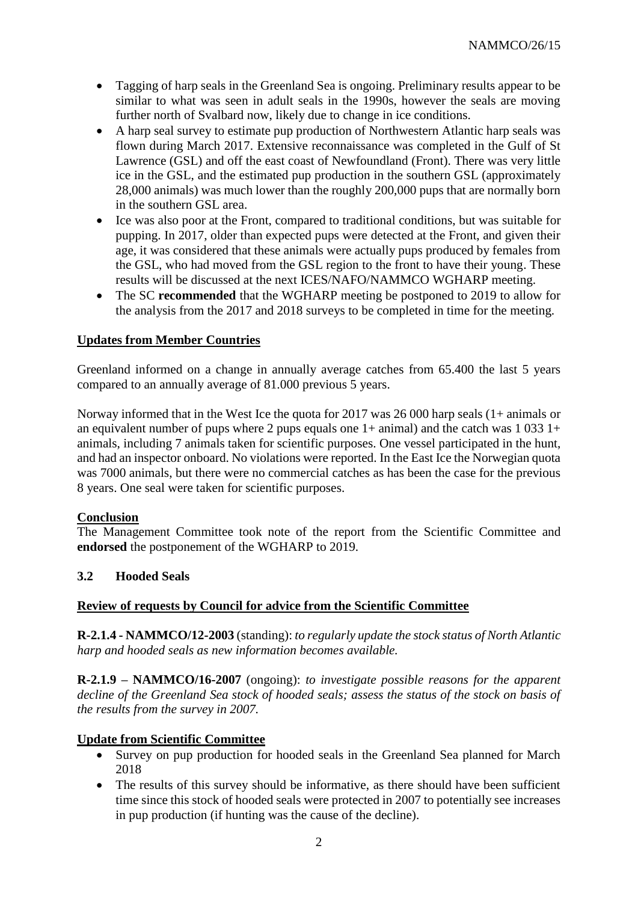- Tagging of harp seals in the Greenland Sea is ongoing. Preliminary results appear to be similar to what was seen in adult seals in the 1990s, however the seals are moving further north of Svalbard now, likely due to change in ice conditions.
- A harp seal survey to estimate pup production of Northwestern Atlantic harp seals was flown during March 2017. Extensive reconnaissance was completed in the Gulf of St Lawrence (GSL) and off the east coast of Newfoundland (Front). There was very little ice in the GSL, and the estimated pup production in the southern GSL (approximately 28,000 animals) was much lower than the roughly 200,000 pups that are normally born in the southern GSL area.
- Ice was also poor at the Front, compared to traditional conditions, but was suitable for pupping. In 2017, older than expected pups were detected at the Front, and given their age, it was considered that these animals were actually pups produced by females from the GSL, who had moved from the GSL region to the front to have their young. These results will be discussed at the next ICES/NAFO/NAMMCO WGHARP meeting.
- The SC **recommended** that the WGHARP meeting be postponed to 2019 to allow for the analysis from the 2017 and 2018 surveys to be completed in time for the meeting.

# **Updates from Member Countries**

Greenland informed on a change in annually average catches from 65.400 the last 5 years compared to an annually average of 81.000 previous 5 years.

Norway informed that in the West Ice the quota for 2017 was 26 000 harp seals (1+ animals or an equivalent number of pups where 2 pups equals one  $1+$  animal) and the catch was 1 033  $1+$ animals, including 7 animals taken for scientific purposes. One vessel participated in the hunt, and had an inspector onboard. No violations were reported. In the East Ice the Norwegian quota was 7000 animals, but there were no commercial catches as has been the case for the previous 8 years. One seal were taken for scientific purposes.

# **Conclusion**

The Management Committee took note of the report from the Scientific Committee and **endorsed** the postponement of the WGHARP to 2019.

# **3.2 Hooded Seals**

# **Review of requests by Council for advice from the Scientific Committee**

**R-2.1.4 - NAMMCO/12-2003** (standing): *to regularly update the stock status of North Atlantic harp and hooded seals as new information becomes available.*

**R-2.1.9 – NAMMCO/16-2007** (ongoing): *to investigate possible reasons for the apparent decline of the Greenland Sea stock of hooded seals; assess the status of the stock on basis of the results from the survey in 2007.* 

# **Update from Scientific Committee**

- Survey on pup production for hooded seals in the Greenland Sea planned for March 2018
- The results of this survey should be informative, as there should have been sufficient time since this stock of hooded seals were protected in 2007 to potentially see increases in pup production (if hunting was the cause of the decline).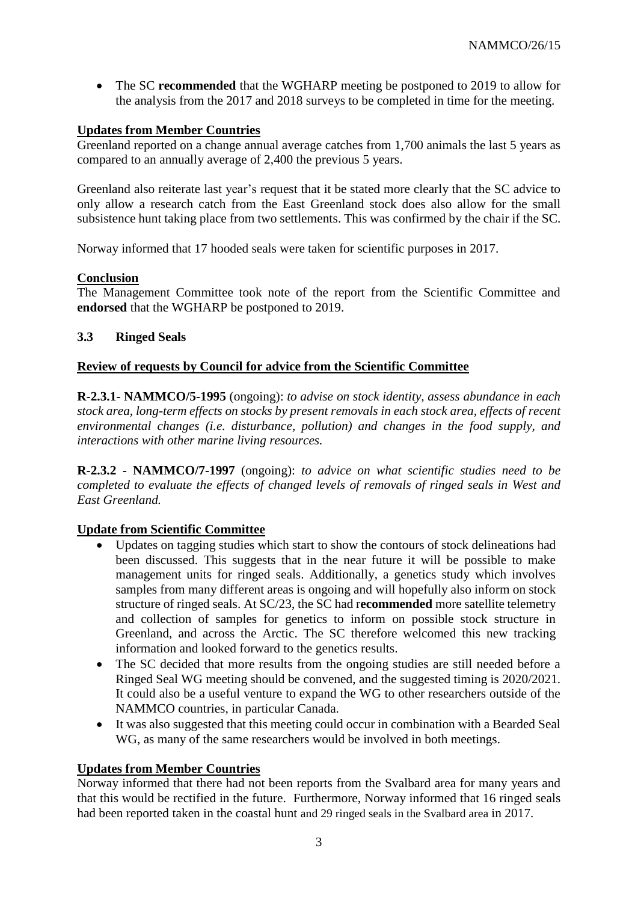• The SC **recommended** that the WGHARP meeting be postponed to 2019 to allow for the analysis from the 2017 and 2018 surveys to be completed in time for the meeting.

# **Updates from Member Countries**

Greenland reported on a change annual average catches from 1,700 animals the last 5 years as compared to an annually average of 2,400 the previous 5 years.

Greenland also reiterate last year's request that it be stated more clearly that the SC advice to only allow a research catch from the East Greenland stock does also allow for the small subsistence hunt taking place from two settlements. This was confirmed by the chair if the SC.

Norway informed that 17 hooded seals were taken for scientific purposes in 2017.

# **Conclusion**

The Management Committee took note of the report from the Scientific Committee and **endorsed** that the WGHARP be postponed to 2019.

# **3.3 Ringed Seals**

# **Review of requests by Council for advice from the Scientific Committee**

**R-2.3.1- NAMMCO/5-1995** (ongoing): *to advise on stock identity, assess abundance in each stock area, long-term effects on stocks by present removals in each stock area, effects of recent environmental changes (i.e. disturbance, pollution) and changes in the food supply, and interactions with other marine living resources.*

**R-2.3.2 - NAMMCO/7-1997** (ongoing): *to advice on what scientific studies need to be completed to evaluate the effects of changed levels of removals of ringed seals in West and East Greenland.*

# **Update from Scientific Committee**

- Updates on tagging studies which start to show the contours of stock delineations had been discussed. This suggests that in the near future it will be possible to make management units for ringed seals. Additionally, a genetics study which involves samples from many different areas is ongoing and will hopefully also inform on stock structure of ringed seals. At SC/23, the SC had r**ecommended** more satellite telemetry and collection of samples for genetics to inform on possible stock structure in Greenland, and across the Arctic. The SC therefore welcomed this new tracking information and looked forward to the genetics results.
- The SC decided that more results from the ongoing studies are still needed before a Ringed Seal WG meeting should be convened, and the suggested timing is 2020/2021. It could also be a useful venture to expand the WG to other researchers outside of the NAMMCO countries, in particular Canada.
- It was also suggested that this meeting could occur in combination with a Bearded Seal WG, as many of the same researchers would be involved in both meetings.

# **Updates from Member Countries**

Norway informed that there had not been reports from the Svalbard area for many years and that this would be rectified in the future. Furthermore, Norway informed that 16 ringed seals had been reported taken in the coastal hunt and 29 ringed seals in the Svalbard area in 2017.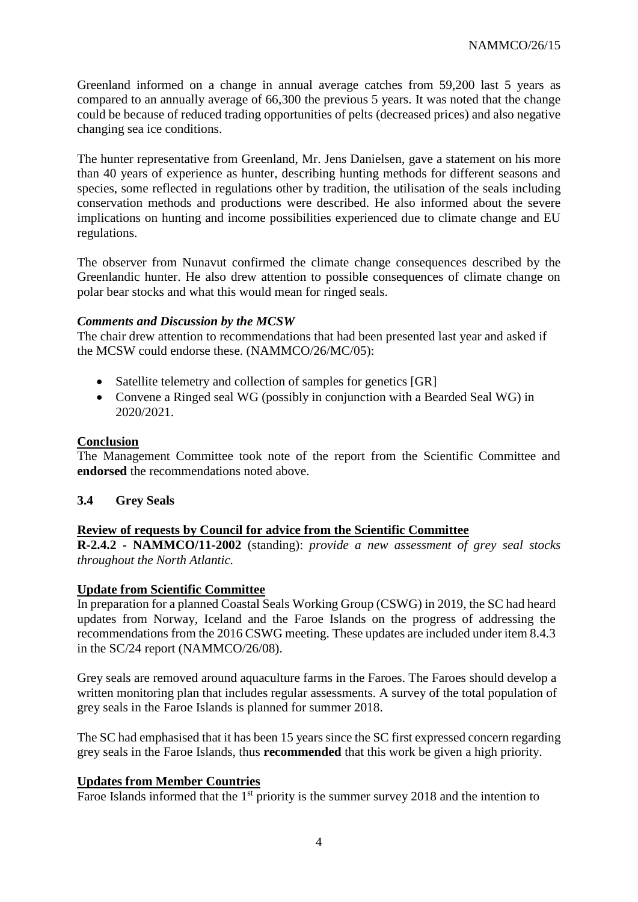Greenland informed on a change in annual average catches from 59,200 last 5 years as compared to an annually average of 66,300 the previous 5 years. It was noted that the change could be because of reduced trading opportunities of pelts (decreased prices) and also negative changing sea ice conditions.

The hunter representative from Greenland, Mr. Jens Danielsen, gave a statement on his more than 40 years of experience as hunter, describing hunting methods for different seasons and species, some reflected in regulations other by tradition, the utilisation of the seals including conservation methods and productions were described. He also informed about the severe implications on hunting and income possibilities experienced due to climate change and EU regulations.

The observer from Nunavut confirmed the climate change consequences described by the Greenlandic hunter. He also drew attention to possible consequences of climate change on polar bear stocks and what this would mean for ringed seals.

#### *Comments and Discussion by the MCSW*

The chair drew attention to recommendations that had been presented last year and asked if the MCSW could endorse these. (NAMMCO/26/MC/05):

- Satellite telemetry and collection of samples for genetics [GR]
- Convene a Ringed seal WG (possibly in conjunction with a Bearded Seal WG) in 2020/2021.

#### **Conclusion**

The Management Committee took note of the report from the Scientific Committee and **endorsed** the recommendations noted above.

#### **3.4 Grey Seals**

# **Review of requests by Council for advice from the Scientific Committee**

**R-2.4.2 - NAMMCO/11-2002** (standing): *provide a new assessment of grey seal stocks throughout the North Atlantic.*

#### **Update from Scientific Committee**

In preparation for a planned Coastal Seals Working Group (CSWG) in 2019, the SC had heard updates from Norway, Iceland and the Faroe Islands on the progress of addressing the recommendations from the 2016 CSWG meeting. These updates are included under item 8.4.3 in the SC/24 report (NAMMCO/26/08).

Grey seals are removed around aquaculture farms in the Faroes. The Faroes should develop a written monitoring plan that includes regular assessments. A survey of the total population of grey seals in the Faroe Islands is planned for summer 2018.

The SC had emphasised that it has been 15 years since the SC first expressed concern regarding grey seals in the Faroe Islands, thus **recommended** that this work be given a high priority.

# **Updates from Member Countries**

Faroe Islands informed that the  $1<sup>st</sup>$  priority is the summer survey 2018 and the intention to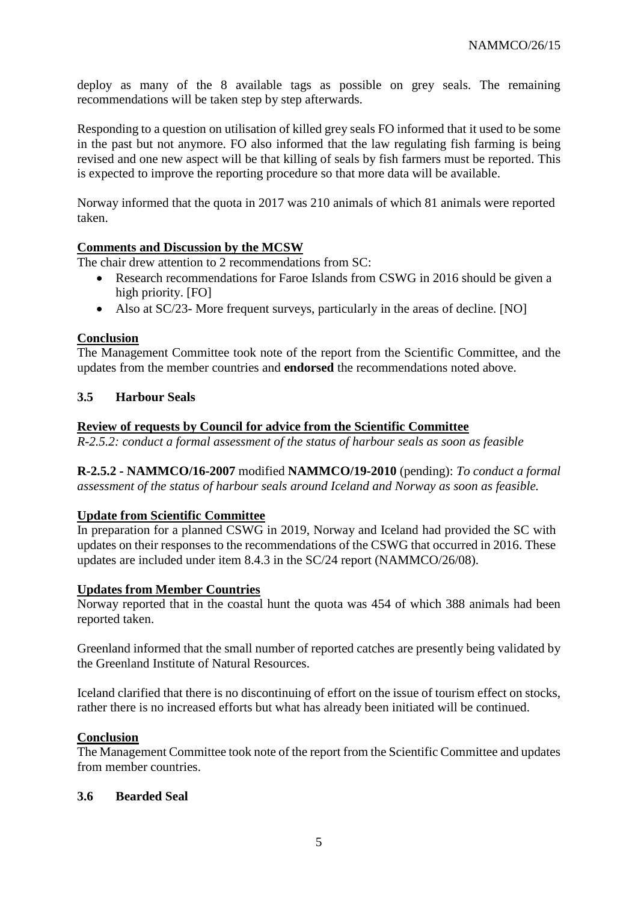deploy as many of the 8 available tags as possible on grey seals. The remaining recommendations will be taken step by step afterwards.

Responding to a question on utilisation of killed grey seals FO informed that it used to be some in the past but not anymore. FO also informed that the law regulating fish farming is being revised and one new aspect will be that killing of seals by fish farmers must be reported. This is expected to improve the reporting procedure so that more data will be available.

Norway informed that the quota in 2017 was 210 animals of which 81 animals were reported taken.

# **Comments and Discussion by the MCSW**

The chair drew attention to 2 recommendations from SC:

- Research recommendations for Faroe Islands from CSWG in 2016 should be given a high priority. [FO]
- Also at SC/23- More frequent surveys, particularly in the areas of decline. [NO]

# **Conclusion**

The Management Committee took note of the report from the Scientific Committee, and the updates from the member countries and **endorsed** the recommendations noted above.

# **3.5 Harbour Seals**

#### **Review of requests by Council for advice from the Scientific Committee**

*R-2.5.2: conduct a formal assessment of the status of harbour seals as soon as feasible*

**R-2.5.2 - NAMMCO/16-2007** modified **NAMMCO/19-2010** (pending): *To conduct a formal assessment of the status of harbour seals around Iceland and Norway as soon as feasible.*

# **Update from Scientific Committee**

In preparation for a planned CSWG in 2019, Norway and Iceland had provided the SC with updates on their responses to the recommendations of the CSWG that occurred in 2016. These updates are included under item 8.4.3 in the SC/24 report (NAMMCO/26/08).

#### **Updates from Member Countries**

Norway reported that in the coastal hunt the quota was 454 of which 388 animals had been reported taken.

Greenland informed that the small number of reported catches are presently being validated by the Greenland Institute of Natural Resources.

Iceland clarified that there is no discontinuing of effort on the issue of tourism effect on stocks, rather there is no increased efforts but what has already been initiated will be continued.

#### **Conclusion**

The Management Committee took note of the report from the Scientific Committee and updates from member countries.

#### **3.6 Bearded Seal**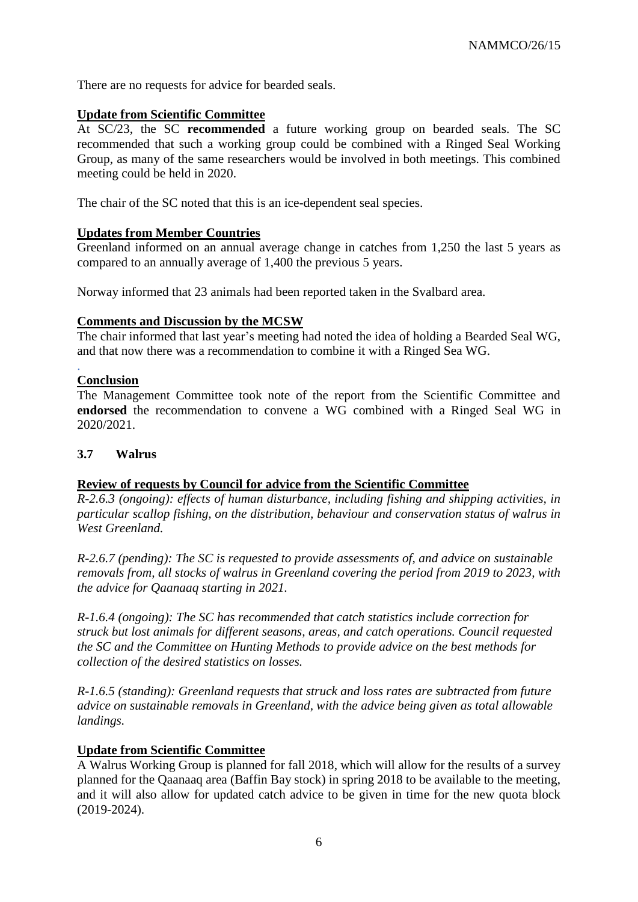There are no requests for advice for bearded seals.

#### **Update from Scientific Committee**

At SC/23, the SC **recommended** a future working group on bearded seals. The SC recommended that such a working group could be combined with a Ringed Seal Working Group, as many of the same researchers would be involved in both meetings. This combined meeting could be held in 2020.

The chair of the SC noted that this is an ice-dependent seal species.

# **Updates from Member Countries**

Greenland informed on an annual average change in catches from 1,250 the last 5 years as compared to an annually average of 1,400 the previous 5 years.

Norway informed that 23 animals had been reported taken in the Svalbard area.

#### **Comments and Discussion by the MCSW**

The chair informed that last year's meeting had noted the idea of holding a Bearded Seal WG, and that now there was a recommendation to combine it with a Ringed Sea WG.

#### **Conclusion**

.

The Management Committee took note of the report from the Scientific Committee and **endorsed** the recommendation to convene a WG combined with a Ringed Seal WG in 2020/2021.

#### **3.7 Walrus**

#### **Review of requests by Council for advice from the Scientific Committee**

*R-2.6.3 (ongoing): effects of human disturbance, including fishing and shipping activities, in particular scallop fishing, on the distribution, behaviour and conservation status of walrus in West Greenland.* 

*R-2.6.7 (pending): The SC is requested to provide assessments of, and advice on sustainable removals from, all stocks of walrus in Greenland covering the period from 2019 to 2023, with the advice for Qaanaaq starting in 2021.* 

*R-1.6.4 (ongoing): The SC has recommended that catch statistics include correction for struck but lost animals for different seasons, areas, and catch operations. Council requested the SC and the Committee on Hunting Methods to provide advice on the best methods for collection of the desired statistics on losses.* 

*R-1.6.5 (standing): Greenland requests that struck and loss rates are subtracted from future advice on sustainable removals in Greenland, with the advice being given as total allowable landings.*

#### **Update from Scientific Committee**

A Walrus Working Group is planned for fall 2018, which will allow for the results of a survey planned for the Qaanaaq area (Baffin Bay stock) in spring 2018 to be available to the meeting, and it will also allow for updated catch advice to be given in time for the new quota block (2019-2024).